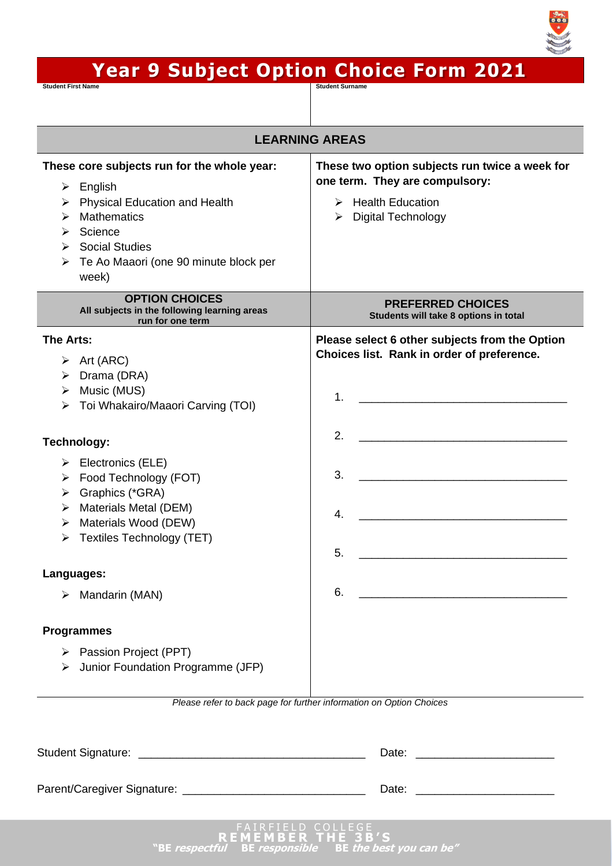

# **Year 9 Subject Option Choice Form 2021**

Student First Name **Student Surname Student Surname** Student Surname Student Surname Student Surname Student Surname

| <b>LEARNING AREAS</b>                                                                                                                                                                                                                    |                                                                                                                                                                     |
|------------------------------------------------------------------------------------------------------------------------------------------------------------------------------------------------------------------------------------------|---------------------------------------------------------------------------------------------------------------------------------------------------------------------|
| These core subjects run for the whole year:<br>English<br>➤<br><b>Physical Education and Health</b><br>➤<br><b>Mathematics</b><br>⋗<br>Science<br>⋗<br><b>Social Studies</b><br>⋗<br>Te Ao Maaori (one 90 minute block per<br>➤<br>week) | These two option subjects run twice a week for<br>one term. They are compulsory:<br><b>Health Education</b><br>➤<br>$\triangleright$ Digital Technology             |
| <b>OPTION CHOICES</b><br>All subjects in the following learning areas<br>run for one term                                                                                                                                                | <b>PREFERRED CHOICES</b><br>Students will take 8 options in total                                                                                                   |
| The Arts:<br>$\triangleright$ Art (ARC)<br>Drama (DRA)<br>➤<br>Music (MUS)<br>➤<br>Toi Whakairo/Maaori Carving (TOI)<br>≻                                                                                                                | Please select 6 other subjects from the Option<br>Choices list. Rank in order of preference.<br><u> 1980 - Johann Barn, mars an t-Amerikaansk politiker (</u><br>1. |
| <b>Technology:</b>                                                                                                                                                                                                                       | 2.                                                                                                                                                                  |
| $\triangleright$ Electronics (ELE)<br>Food Technology (FOT)<br>➤<br>Graphics (*GRA)<br>➤<br>Materials Metal (DEM)<br>➤<br>Materials Wood (DEW)<br>➤<br>Textiles Technology (TET)<br>➤                                                    | 3.<br><u> 1989 - Johann Barbara, martxa alemaniar a</u><br>4.<br><u> 1980 - John Stone, Amerikaansk politiker (</u><br>5.                                           |
| Languages:                                                                                                                                                                                                                               |                                                                                                                                                                     |
| Mandarin (MAN)<br>➤                                                                                                                                                                                                                      | 6.<br><u> 1980 - Johann Barn, mars ann an t-Amhain Aonaich an t-Aonaich an t-Aonaich ann an t-Aonaich ann an t-Aonaich</u>                                          |
| <b>Programmes</b><br>> Passion Project (PPT)<br>Junior Foundation Programme (JFP)<br>≻                                                                                                                                                   | Please refer to back page for further information on Option Choices                                                                                                 |
|                                                                                                                                                                                                                                          |                                                                                                                                                                     |
|                                                                                                                                                                                                                                          |                                                                                                                                                                     |
|                                                                                                                                                                                                                                          |                                                                                                                                                                     |
| RFIELD COLLEGE!                                                                                                                                                                                                                          |                                                                                                                                                                     |

**"BE respectful BE responsible BE the best you can be"**